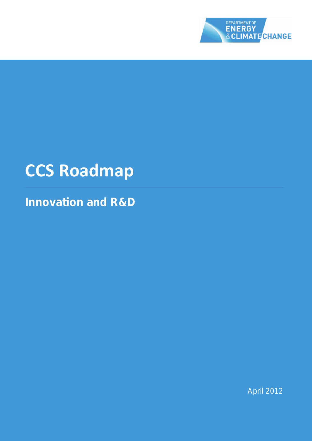

# **CCS Roadmap**

**Innovation and R&D**

April 2012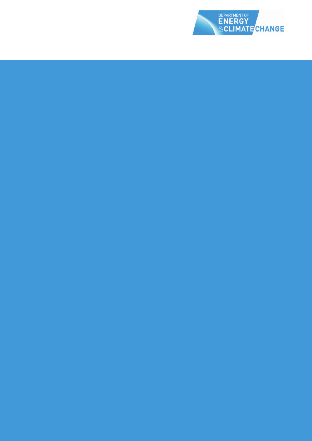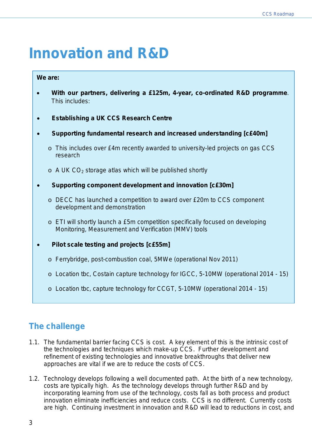# **Innovation and R&D**

#### **We are:**

- **With our partners, delivering a £125m, 4-year, co-ordinated R&D programme**. This includes:
- **Establishing a UK CCS Research Centre**
- **Supporting fundamental research and increased understanding [c£40m]**
	- $\circ$  This includes over £4m recently awarded to university-led projects on gas CCS research
	- $\circ$  A UK CO<sub>2</sub> storage atlas which will be published shortly
- **Supporting component development and innovation [c£30m]**
	- $\circ$  DECC has launched a competition to award over £20m to CCS component development and demonstration
	- o ETI will shortly launch a £5m competition specifically focused on developing Monitoring, Measurement and Verification (MMV) tools
- **Pilot scale testing and projects [c£55m]**
	- o Ferrybridge, post-combustion coal, 5MWe (operational Nov 2011)
	- o Location tbc, Costain capture technology for IGCC, 5-10MW (operational 2014 15)
	- o Location tbc, capture technology for CCGT, 5-10MW (operational 2014 15)

# **The challenge**

- 1.1. The fundamental barrier facing CCS is cost. A key element of this is the intrinsic cost of the technologies and techniques which make-up CCS. Further development and refinement of existing technologies and innovative breakthroughs that deliver new approaches are vital if we are to reduce the costs of CCS.
- 1.2. Technology develops following a well documented path. At the birth of a new technology, costs are typically high. As the technology develops through further R&D and by incorporating learning from use of the technology, costs fall as both process and product innovation eliminate inefficiencies and reduce costs. CCS is no different. Currently costs are high. Continuing investment in innovation and R&D will lead to reductions in cost, and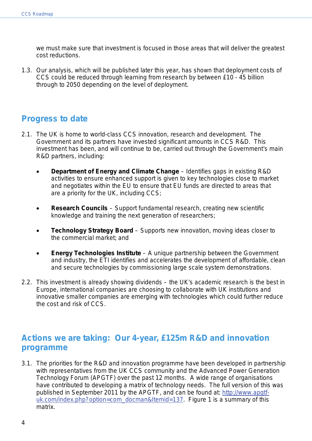we must make sure that investment is focused in those areas that will deliver the greatest cost reductions.

1.3. Our analysis, which will be published later this year, has shown that deployment costs of CCS could be reduced through learning from research by between £10 - 45 billion through to 2050 depending on the level of deployment.

## **Progress to date**

- 2.1. The UK is home to world-class CCS innovation, research and development. The Government and its partners have invested significant amounts in CCS R&D. This investment has been, and will continue to be, carried out through the Government's main R&D partners, including:
	- **Department of Energy and Climate Change** Identifies gaps in existing R&D activities to ensure enhanced support is given to key technologies close to market and negotiates within the EU to ensure that EU funds are directed to areas that are a priority for the UK, including CCS;
	- **Research Councils** Support fundamental research, creating new scientific knowledge and training the next generation of researchers;
	- **Technology Strategy Board** Supports new innovation, moving ideas closer to the commercial market; and
	- **Energy Technologies Institute** A unique partnership between the Government and industry, the ETI identifies and accelerates the development of affordable, clean and secure technologies by commissioning large scale system demonstrations.
- 2.2. This investment is already showing dividends the UK's academic research is the best in Europe, international companies are choosing to collaborate with UK institutions and innovative smaller companies are emerging with technologies which could further reduce the cost and risk of CCS.

# **Actions we are taking: Our 4-year, £125m R&D and innovation programme**

3.1. The priorities for the R&D and innovation programme have been developed in partnership with representatives from the UK CCS community and the Advanced Power Generation Technology Forum (APGTF) over the past 12 months. A wide range of organisations have contributed to developing a matrix of technology needs. The full version of this was published in September 2011 by the APGTF, and can be found at: [http://www.apgtf](http://www.apgtf-uk.com/index.php?option=com_docman&Itemid=137)[uk.com/index.php?option=com\\_docman&Itemid=137.](http://www.apgtf-uk.com/index.php?option=com_docman&Itemid=137) Figure 1 is a summary of this matrix.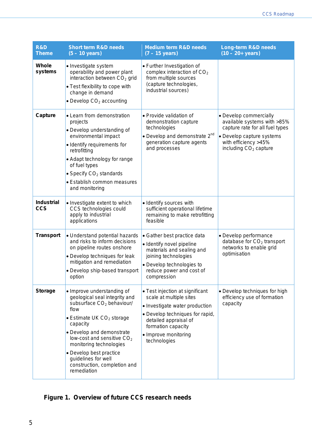| <b>R&amp;D</b><br><b>Theme</b>  | <b>Short term R&amp;D needs</b><br>$(5 - 10 \text{ years})$                                                                                                                                                                                                                                                                                                                  | <b>Medium term R&amp;D needs</b><br>$(7 - 15$ years)                                                                                                                                                                   | <b>Long-term R&amp;D needs</b><br>$(10 - 20 + years)$                                                                                                                              |
|---------------------------------|------------------------------------------------------------------------------------------------------------------------------------------------------------------------------------------------------------------------------------------------------------------------------------------------------------------------------------------------------------------------------|------------------------------------------------------------------------------------------------------------------------------------------------------------------------------------------------------------------------|------------------------------------------------------------------------------------------------------------------------------------------------------------------------------------|
| Whole<br>systems                | • Investigate system<br>operability and power plant<br>interaction between CO <sub>2</sub> grid<br>• Test flexibility to cope with<br>change in demand<br>• Develop $CO2$ accounting                                                                                                                                                                                         | • Further Investigation of<br>complex interaction of CO <sub>2</sub><br>from multiple sources<br>(capture technologies,<br>industrial sources)                                                                         |                                                                                                                                                                                    |
| Capture                         | • Learn from demonstration<br>projects<br>• Develop understanding of<br>environmental impact<br>• Identify requirements for<br>retrofitting<br>• Adapt technology for range<br>of fuel types<br>• Specify $CO2$ standards<br>· Establish common measures<br>and monitoring                                                                                                   | • Provide validation of<br>demonstration capture<br>technologies<br>• Develop and demonstrate $2^{nd}$<br>generation capture agents<br>and processes                                                                   | • Develop commercially<br>available systems with >85%<br>capture rate for all fuel types<br>• Develop capture systems<br>with efficiency >45%<br>including CO <sub>2</sub> capture |
| <b>Industrial</b><br><b>CCS</b> | • Investigate extent to which<br>CCS technologies could<br>apply to industrial<br>applications                                                                                                                                                                                                                                                                               | · Identify sources with<br>sufficient operational lifetime<br>remaining to make retrofitting<br>feasible                                                                                                               |                                                                                                                                                                                    |
| <b>Transport</b>                | • Understand potential hazards<br>and risks to inform decisions<br>on pipeline routes onshore<br>• Develop techniques for leak<br>mitigation and remediation<br>• Develop ship-based transport<br>option                                                                                                                                                                     | • Gather best practice data<br>· Identify novel pipeline<br>materials and sealing and<br>joining technologies<br>• Develop technologies to<br>reduce power and cost of<br>compression                                  | • Develop performance<br>database for CO <sub>2</sub> transport<br>networks to enable grid<br>optimisation                                                                         |
| <b>Storage</b>                  | • Improve understanding of<br>geological seal integrity and<br>subsurface CO <sub>2</sub> behaviour/<br>flow<br>$\bullet$ Estimate UK CO <sub>2</sub> storage<br>capacity<br>• Develop and demonstrate<br>low-cost and sensitive CO <sub>2</sub><br>monitoring technologies<br>• Develop best practice<br>guidelines for well<br>construction, completion and<br>remediation | • Test injection at significant<br>scale at multiple sites<br>• Investigate water production<br>• Develop techniques for rapid,<br>detailed appraisal of<br>formation capacity<br>• Improve monitoring<br>technologies | • Develop techniques for high<br>efficiency use of formation<br>capacity                                                                                                           |

# **Figure 1. Overview of future CCS research needs**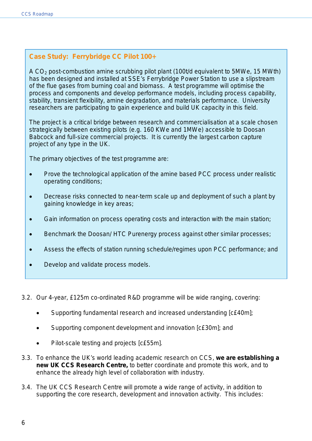### **Case Study: Ferrybridge CC Pilot 100+**

A CO2 post-combustion amine scrubbing pilot plant (100t/d equivalent to 5MWe, 15 MWth) has been designed and installed at SSE's Ferrybridge Power Station to use a slipstream of the flue gases from burning coal and biomass. A test programme will optimise the process and components and develop performance models, including process capability, stability, transient flexibility, amine degradation, and materials performance. University researchers are participating to gain experience and build UK capacity in this field.

The project is a critical bridge between research and commercialisation at a scale chosen strategically between existing pilots (e.g. 160 KWe and 1MWe) accessible to Doosan Babcock and full-size commercial projects. It is currently the largest carbon capture project of any type in the UK.

The primary objectives of the test programme are:

- Prove the technological application of the amine based PCC process under realistic operating conditions;
- Decrease risks connected to near-term scale up and deployment of such a plant by gaining knowledge in key areas;
- Gain information on process operating costs and interaction with the main station;
- Benchmark the Doosan/ HTC Purenergy process against other similar processes;
- Assess the effects of station running schedule/regimes upon PCC performance; and
- Develop and validate process models.
- 3.2. Our 4-year, £125m co-ordinated R&D programme will be wide ranging, covering:
	- Supporting fundamental research and increased understanding [c£40m];
	- Supporting component development and innovation [c£30m]; and
	- Pilot-scale testing and projects [c£55m].
- 3.3. To enhance the UK's world leading academic research on CCS, **we are establishing a new UK CCS Research Centre,** to better coordinate and promote this work, and to enhance the already high level of collaboration with industry.
- 3.4. The UK CCS Research Centre will promote a wide range of activity, in addition to supporting the core research, development and innovation activity. This includes: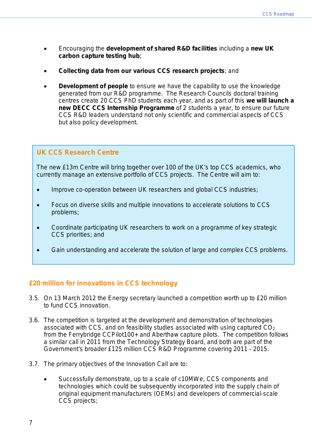- Encouraging the **development of shared R&D facilities** including a **new UK carbon capture testing hub**;
- **Collecting data from our various CCS research projects**; and
- **Development of people** to ensure we have the capability to use the knowledge generated from our R&D programme. The Research Councils doctoral training centres create 20 CCS PhD students each year, and as part of this **we will launch a new DECC CCS Internship Programme** of 2 students a year, to ensure our future CCS R&D leaders understand not only scientific and commercial aspects of CCS but also policy development.

#### **UK CCS Research Centre**

The new £13m Centre will bring together over 100 of the UK's top CCS academics, who currently manage an extensive portfolio of CCS projects. The Centre will aim to:

- Improve co-operation between UK researchers and global CCS industries;
- Focus on diverse skills and multiple innovations to accelerate solutions to CCS problems;
- Coordinate participating UK researchers to work on a programme of key strategic CCS priorities; and
- Gain understanding and accelerate the solution of large and complex CCS problems.

#### **£20 million for innovations in CCS technology**

- 3.5. On 13 March 2012 the Energy secretary launched a competition worth up to £20 million to fund CCS innovation.
- 3.6. The competition is targeted at the development and demonstration of technologies associated with CCS, and on feasibility studies associated with using captured  $CO<sub>2</sub>$ from the Ferrybridge CCPilot100+ and Aberthaw capture pilots. The competition follows a similar call in 2011 from the Technology Strategy Board, and both are part of the Government's broader £125 million CCS R&D Programme covering 2011 - 2015.
- 3.7. The primary objectives of the Innovation Call are to:
	- Successfully demonstrate, up to a scale of c10MWe, CCS components and technologies which could be subsequently incorporated into the supply chain of original equipment manufacturers (OEMs) and developers of commercial-scale CCS projects;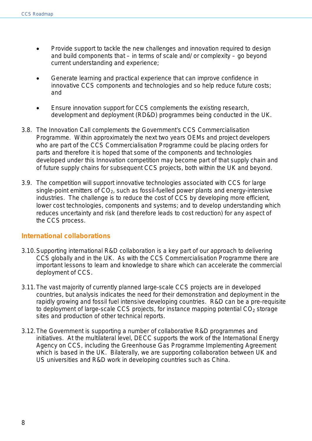- Provide support to tackle the new challenges and innovation required to design and build components that – in terms of scale and/ or complexity – go beyond current understanding and experience;
- Generate learning and practical experience that can improve confidence in innovative CCS components and technologies and so help reduce future costs; and
- Ensure innovation support for CCS complements the existing research, development and deployment (RD&D) programmes being conducted in the UK.
- 3.8. The Innovation Call complements the Government's CCS Commercialisation Programme. Within approximately the next two years OEMs and project developers who are part of the CCS Commercialisation Programme could be placing orders for parts and therefore it is hoped that some of the components and technologies developed under this Innovation competition may become part of that supply chain and of future supply chains for subsequent CCS projects, both within the UK and beyond.
- 3.9. The competition will support innovative technologies associated with CCS for large single-point emitters of  $CO<sub>2</sub>$ , such as fossil-fuelled power plants and energy-intensive industries. The challenge is to reduce the cost of CCS by developing more efficient, lower cost technologies, components and systems; and to develop understanding which reduces uncertainty and risk (and therefore leads to cost reduction) for any aspect of the CCS process.

#### **International collaborations**

- 3.10.Supporting international R&D collaboration is a key part of our approach to delivering CCS globally and in the UK. As with the CCS Commercialisation Programme there are important lessons to learn and knowledge to share which can accelerate the commercial deployment of CCS.
- 3.11.The vast majority of currently planned large-scale CCS projects are in developed countries, but analysis indicates the need for their demonstration and deployment in the rapidly growing and fossil fuel intensive developing countries. R&D can be a pre-requisite to deployment of large-scale CCS projects, for instance mapping potential  $CO<sub>2</sub>$  storage sites and production of other technical reports.
- 3.12.The Government is supporting a number of collaborative R&D programmes and initiatives. At the multilateral level, DECC supports the work of the International Energy Agency on CCS, including the Greenhouse Gas Programme Implementing Agreement which is based in the UK. Bilaterally, we are supporting collaboration between UK and US universities and R&D work in developing countries such as China.